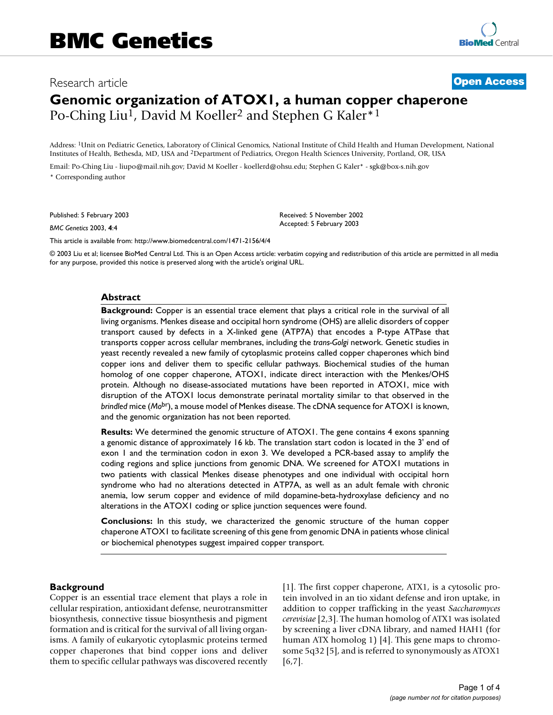# Research article **[Open Access](http://www.biomedcentral.com/info/about/charter/) Genomic organization of ATOX1, a human copper chaperone** Po-Ching Liu<sup>1</sup>, David M Koeller<sup>2</sup> and Stephen G Kaler<sup>\*1</sup>

Address: 1Unit on Pediatric Genetics, Laboratory of Clinical Genomics, National Institute of Child Health and Human Development, National Institutes of Health, Bethesda, MD, USA and 2Department of Pediatrics, Oregon Health Sciences University, Portland, OR, USA

Email: Po-Ching Liu - liupo@mail.nih.gov; David M Koeller - koellerd@ohsu.edu; Stephen G Kaler\* - sgk@box-s.nih.gov \* Corresponding author

Published: 5 February 2003

*BMC Genetics* 2003, **4**:4

Received: 5 November 2002 Accepted: 5 February 2003

[This article is available from: http://www.biomedcentral.com/1471-2156/4/4](http://www.biomedcentral.com/1471-2156/4/4)

© 2003 Liu et al; licensee BioMed Central Ltd. This is an Open Access article: verbatim copying and redistribution of this article are permitted in all media for any purpose, provided this notice is preserved along with the article's original URL.

#### **Abstract**

**Background:** Copper is an essential trace element that plays a critical role in the survival of all living organisms. Menkes disease and occipital horn syndrome (OHS) are allelic disorders of copper transport caused by defects in a X-linked gene (ATP7A) that encodes a P-type ATPase that transports copper across cellular membranes, including the *trans-Golgi* network. Genetic studies in yeast recently revealed a new family of cytoplasmic proteins called copper chaperones which bind copper ions and deliver them to specific cellular pathways. Biochemical studies of the human homolog of one copper chaperone, ATOX1, indicate direct interaction with the Menkes/OHS protein. Although no disease-associated mutations have been reported in ATOX1, mice with disruption of the ATOX1 locus demonstrate perinatal mortality similar to that observed in the *brindled* mice (*Mo*br), a mouse model of Menkes disease. The cDNA sequence for ATOX1 is known, and the genomic organization has not been reported.

**Results:** We determined the genomic structure of ATOX1. The gene contains 4 exons spanning a genomic distance of approximately 16 kb. The translation start codon is located in the 3' end of exon 1 and the termination codon in exon 3. We developed a PCR-based assay to amplify the coding regions and splice junctions from genomic DNA. We screened for ATOX1 mutations in two patients with classical Menkes disease phenotypes and one individual with occipital horn syndrome who had no alterations detected in ATP7A, as well as an adult female with chronic anemia, low serum copper and evidence of mild dopamine-beta-hydroxylase deficiency and no alterations in the ATOX1 coding or splice junction sequences were found.

**Conclusions:** In this study, we characterized the genomic structure of the human copper chaperone ATOX1 to facilitate screening of this gene from genomic DNA in patients whose clinical or biochemical phenotypes suggest impaired copper transport.

#### **Background**

Copper is an essential trace element that plays a role in cellular respiration, antioxidant defense, neurotransmitter biosynthesis, connective tissue biosynthesis and pigment formation and is critical for the survival of all living organisms. A family of eukaryotic cytoplasmic proteins termed copper chaperones that bind copper ions and deliver them to specific cellular pathways was discovered recently [1]. The first copper chaperone, ATX1, is a cytosolic protein involved in an tio xidant defense and iron uptake, in addition to copper trafficking in the yeast *Saccharomyces cerevisiae* [\[2,](#page-3-0)[3\]](#page-3-1). The human homolog of ATX1 was isolated by screening a liver cDNA library, and named HAH1 (for human ATX homolog 1) [4]. This gene maps to chromosome 5q32 [5], and is referred to synonymously as ATOX1 [[6,](#page-3-2)7].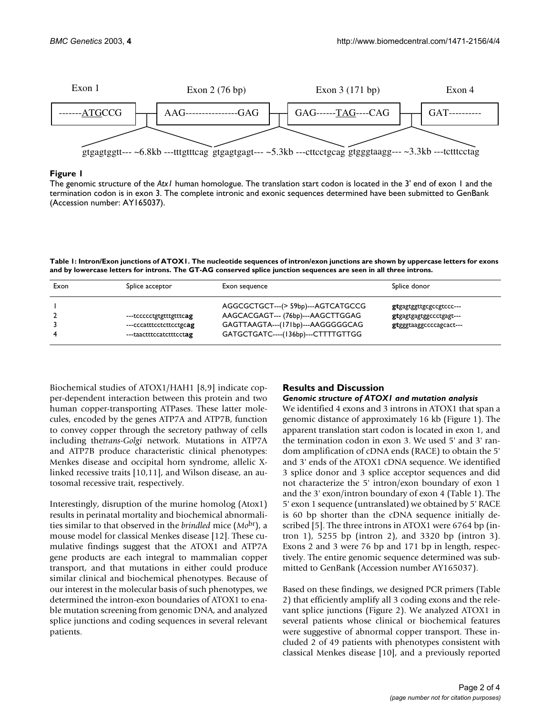

### **Figure 1**

The genomic structure of the *Atx1* human homologue. The translation start codon is located in the 3' end of exon 1 and the termination codon is in exon 3. The complete intronic and exonic sequences determined have been submitted to GenBank (Accession number: AY165037).

<span id="page-1-0"></span>**Table 1: Intron/Exon junctions of ATOX1. The nucleotide sequences of intron/exon junctions are shown by uppercase letters for exons and by lowercase letters for introns. The GT-AG conserved splice junction sequences are seen in all three introns.**

| Exon | Splice acceptor                                                               | Exon sequence                                                                                                                                      | Splice donor                                                                  |
|------|-------------------------------------------------------------------------------|----------------------------------------------------------------------------------------------------------------------------------------------------|-------------------------------------------------------------------------------|
|      | ---tccccctgtgtttgtttcag<br>---cccatttcctcttcctgcag<br>---taactttccatctttcctag | AGGCGCTGCT---(> 59bp)---AGTCATGCCG<br>AAGCACGAGT--- (76bp)---AAGCTTGGAG<br>GAGTTAAGTA---(171bp)---AAGGGGGCAG<br>GATGCTGATC----(136bp)---CTTTTGTTGG | gtgagtggttgcgccgtccc---<br>gtgagtgagtggccctgagt---<br>gtgggtaaggccccagcact--- |

Biochemical studies of ATOX1/HAH1 [8,9] indicate copper-dependent interaction between this protein and two human copper-transporting ATPases. These latter molecules, encoded by the genes ATP7A and ATP7B, function to convey copper through the secretory pathway of cells including the*trans-Golgi* network. Mutations in ATP7A and ATP7B produce characteristic clinical phenotypes: Menkes disease and occipital horn syndrome, allelic Xlinked recessive traits [10,11], and Wilson disease, an autosomal recessive trait, respectively.

Interestingly, disruption of the murine homolog (Atox1) results in perinatal mortality and biochemical abnormalities similar to that observed in the *brindled* mice (*Mo*br), a mouse model for classical Menkes disease [12]. These cumulative findings suggest that the ATOX1 and ATP7A gene products are each integral to mammalian copper transport, and that mutations in either could produce similar clinical and biochemical phenotypes. Because of our interest in the molecular basis of such phenotypes, we determined the intron-exon boundaries of ATOX1 to enable mutation screening from genomic DNA, and analyzed splice junctions and coding sequences in several relevant patients.

# **Results and Discussion** *Genomic structure of ATOX1 and mutation analysis*

We identified 4 exons and 3 introns in ATOX1 that span a genomic distance of approximately 16 kb (Figure 1). The apparent translation start codon is located in exon 1, and the termination codon in exon 3. We used 5' and 3' random amplification of cDNA ends (RACE) to obtain the 5' and 3' ends of the ATOX1 cDNA sequence. We identified 3 splice donor and 3 splice acceptor sequences and did not characterize the 5' intron/exon boundary of exon 1 and the 3' exon/intron boundary of exon 4 (Table [1\)](#page-1-0). The 5' exon 1 sequence (untranslated) we obtained by 5' RACE is 60 bp shorter than the cDNA sequence initially described [5]. The three introns in ATOX1 were 6764 bp (intron 1), 5255 bp (intron 2), and 3320 bp (intron 3). Exons 2 and 3 were 76 bp and 171 bp in length, respectively. The entire genomic sequence determined was submitted to GenBank (Accession number AY165037).

Based on these findings, we designed PCR primers (Table [2](#page-2-0)) that efficiently amplify all 3 coding exons and the relevant splice junctions (Figure 2). We analyzed ATOX1 in several patients whose clinical or biochemical features were suggestive of abnormal copper transport. These included 2 of 49 patients with phenotypes consistent with classical Menkes disease [10], and a previously reported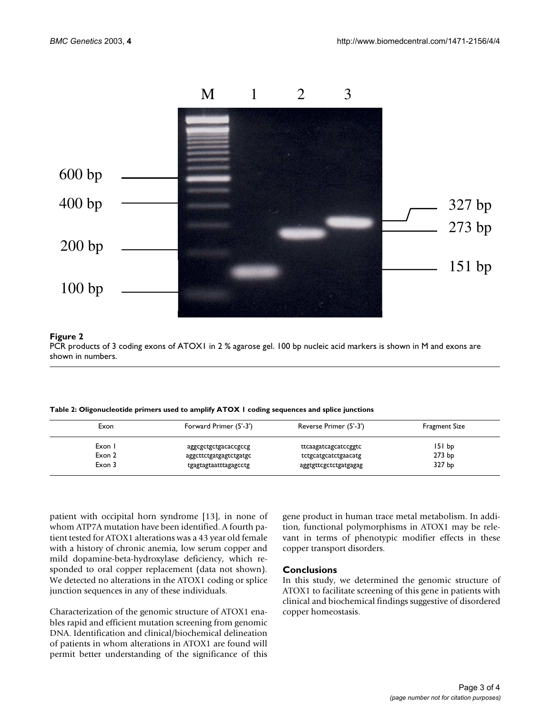

#### **Figure 2**

PCR products of 3 coding exons of ATOX1 in 2 % agarose gel. 100 bp nucleic acid markers is shown in M and exons are shown in numbers.

<span id="page-2-0"></span>**Table 2: Oligonucleotide primers used to amplify ATOX 1 coding sequences and splice junctions**

| Exon   | Forward Primer (5'-3') | Reverse Primer (5'-3') | Fragment Size     |
|--------|------------------------|------------------------|-------------------|
| Exon   | aggcgctgctgacaccgccg   | ttcaagatcagcatccggtc   | 151 bp            |
| Exon 2 | aggcttctgatgagtctgatgc | tctgcatgcatctgaacatg   | 273 <sub>bp</sub> |
| Exon 3 | tgagtagtaatttagagcctg  | aggtgttcgctctgatgagag  | 327 bp            |

patient with occipital horn syndrome [13], in none of whom ATP7A mutation have been identified. A fourth patient tested for ATOX1 alterations was a 43 year old female with a history of chronic anemia, low serum copper and mild dopamine-beta-hydroxylase deficiency, which responded to oral copper replacement (data not shown). We detected no alterations in the ATOX1 coding or splice junction sequences in any of these individuals.

Characterization of the genomic structure of ATOX1 enables rapid and efficient mutation screening from genomic DNA. Identification and clinical/biochemical delineation of patients in whom alterations in ATOX1 are found will permit better understanding of the significance of this gene product in human trace metal metabolism. In addition, functional polymorphisms in ATOX1 may be relevant in terms of phenotypic modifier effects in these copper transport disorders.

#### **Conclusions**

In this study, we determined the genomic structure of ATOX1 to facilitate screening of this gene in patients with clinical and biochemical findings suggestive of disordered copper homeostasis.